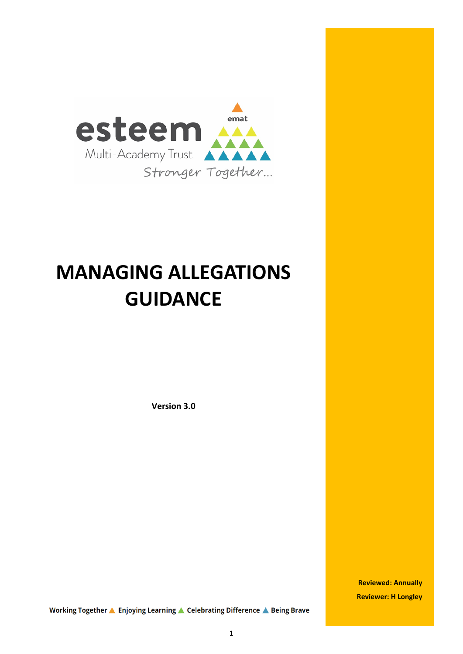

# **MANAGING ALLEGATIONS GUIDANCE**

**Version 3.0**

**Reviewed: Annually Reviewer: H Longley**

Working Together ▲ Enjoying Learning ▲ Celebrating Difference ▲ Being Brave

1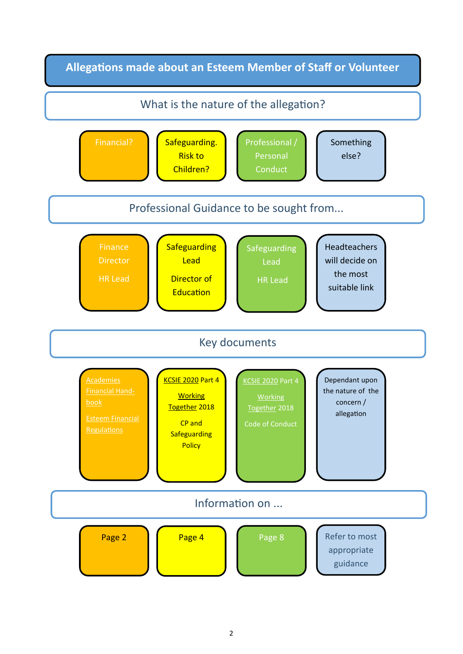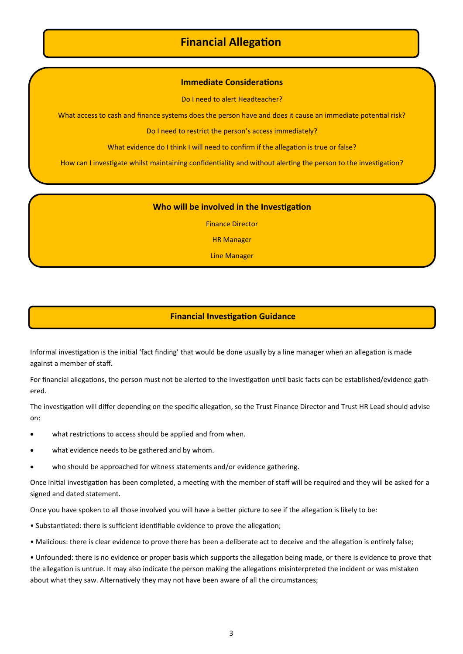# **Financial Allegation**

## **Immediate Considerations**

Do I need to alert Headteacher?

What access to cash and finance systems does the person have and does it cause an immediate potential risk?

Do I need to restrict the person's access immediately?

What evidence do I think I will need to confirm if the allegation is true or false?

How can I investigate whilst maintaining confidentiality and without alerting the person to the investigation?

### **Who will be involved in the Investigation**

Finance Director

HR Manager

Line Manager

# **Financial Investigation Guidance**

Informal investigation is the initial 'fact finding' that would be done usually by a line manager when an allegation is made against a member of staff.

For financial allegations, the person must not be alerted to the investigation until basic facts can be established/evidence gathered.

The investigation will differ depending on the specific allegation, so the Trust Finance Director and Trust HR Lead should advise on:

- what restrictions to access should be applied and from when.
- what evidence needs to be gathered and by whom.
- who should be approached for witness statements and/or evidence gathering.

Once initial investigation has been completed, a meeting with the member of staff will be required and they will be asked for a signed and dated statement.

Once you have spoken to all those involved you will have a better picture to see if the allegation is likely to be:

- Substantiated: there is sufficient identifiable evidence to prove the allegation;
- Malicious: there is clear evidence to prove there has been a deliberate act to deceive and the allegation is entirely false;

• Unfounded: there is no evidence or proper basis which supports the allegation being made, or there is evidence to prove that the allegation is untrue. It may also indicate the person making the allegations misinterpreted the incident or was mistaken about what they saw. Alternatively they may not have been aware of all the circumstances;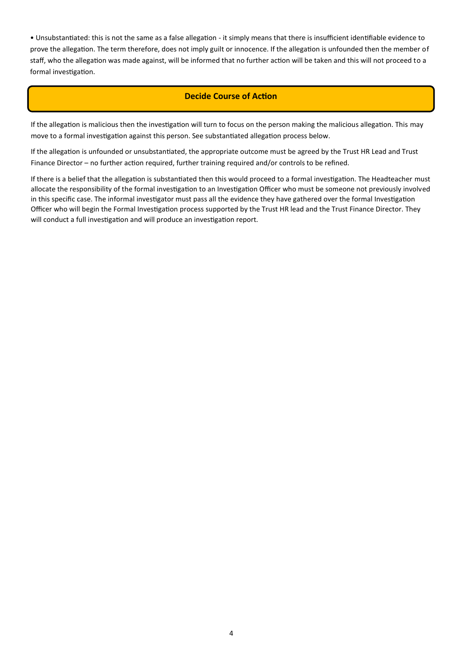• Unsubstantiated: this is not the same as a false allegation ‐ it simply means that there is insufficient identifiable evidence to prove the allegation. The term therefore, does not imply guilt or innocence. If the allegation is unfounded then the member of staff, who the allegation was made against, will be informed that no further action will be taken and this will not proceed to a formal investigation.

## **Decide Course of Action**

If the allegation is malicious then the investigation will turn to focus on the person making the malicious allegation. This may move to a formal investigation against this person. See substantiated allegation process below.

If the allegation is unfounded or unsubstantiated, the appropriate outcome must be agreed by the Trust HR Lead and Trust Finance Director – no further action required, further training required and/or controls to be refined.

If there is a belief that the allegation is substantiated then this would proceed to a formal investigation. The Headteacher must allocate the responsibility of the formal investigation to an Investigation Officer who must be someone not previously involved in this specific case. The informal investigator must pass all the evidence they have gathered over the formal Investigation Officer who will begin the Formal Investigation process supported by the Trust HR lead and the Trust Finance Director. They will conduct a full investigation and will produce an investigation report.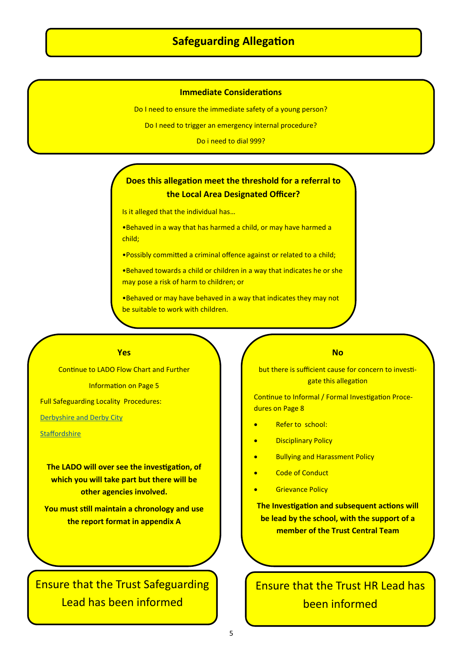# **Safeguarding Allegation**

## **Immediate Considerations**

Do I need to ensure the immediate safety of a young person?

Do I need to trigger an emergency internal procedure?

Do i need to dial 999?

# **Does this allegation meet the threshold for a referral to the Local Area Designated Officer?**

Is it alleged that the individual has…

•Behaved in a way that has harmed a child, or may have harmed a child;

•Possibly committed a criminal offence against or related to a child;

•Behaved towards a child or children in a way that indicates he or she may pose a risk of harm to children; or

•Behaved or may have behaved in a way that indicates they may not be suitable to work with children.

#### **Yes**

Continue to LADO Flow Chart and Further Information on Page 5 Full Safeguarding Locality Procedures: [Derbyshire and Derby City](https://derbyshirescbs.proceduresonline.com/p_alleg_staff_carer_volunteer.html)

**Staffordshire** 

**The LADO will over see the investigation, of which you will take part but there will be other agencies involved.**

**You must still maintain a chronology and use the report format in appendix A**

# Ensure that the Trust Safeguarding Lead has been informed

#### **No**

but there is sufficient cause for concern to investigate this allegation

Continue to Informal / Formal Investigation Procedures on Page 8

- Refer to school:
- **Disciplinary Policy**
- Bullying and Harassment Policy
- **Code of Conduct**
- **Grievance Policy**

**The Investigation and subsequent actions will be lead by the school, with the support of a member of the Trust Central Team**

Ensure that the Trust HR Lead has been informed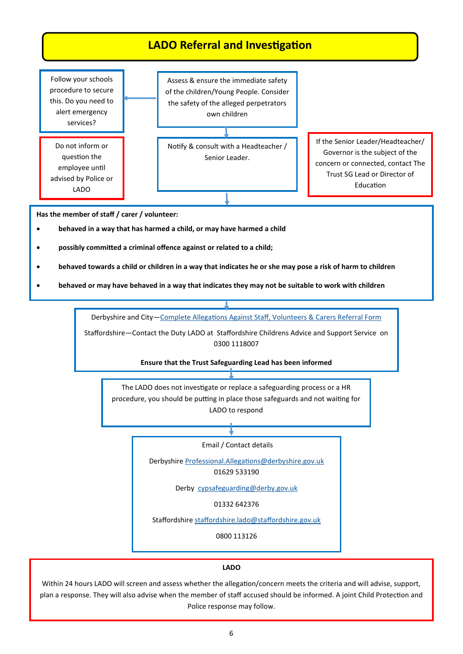

## **LADO**

Within 24 hours LADO will screen and assess whether the allegation/concern meets the criteria and will advise, support, plan a response. They will also advise when the member of staff accused should be informed. A joint Child Protection and Police response may follow.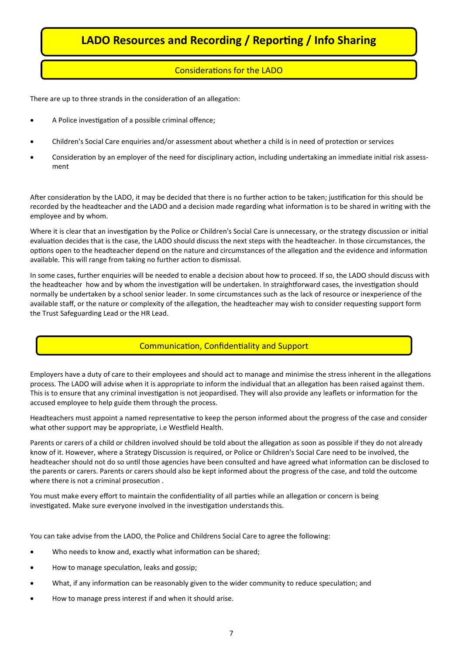# **LADO Resources and Recording / Reporting / Info Sharing**

# Considerations for the LADO

There are up to three strands in the consideration of an allegation:

- A Police investigation of a possible criminal offence;
- Children's Social Care enquiries and/or assessment about whether a child is in need of protection or services
- Consideration by an employer of the need for disciplinary action, including undertaking an immediate initial risk assessment

After consideration by the LADO, it may be decided that there is no further action to be taken; justification for this should be recorded by the headteacher and the LADO and a decision made regarding what information is to be shared in writing with the employee and by whom.

Where it is clear that an investigation by the Police or Children's Social Care is unnecessary, or the strategy discussion or initial evaluation decides that is the case, the LADO should discuss the next steps with the headteacher. In those circumstances, the options open to the headteacher depend on the nature and circumstances of the allegation and the evidence and information available. This will range from taking no further action to dismissal.

In some cases, further enquiries will be needed to enable a decision about how to proceed. If so, the LADO should discuss with the headteacher how and by whom the investigation will be undertaken. In straightforward cases, the investigation should normally be undertaken by a school senior leader. In some circumstances such as the lack of resource or inexperience of the available staff, or the nature or complexity of the allegation, the headteacher may wish to consider requesting support form the Trust Safeguarding Lead or the HR Lead.

# Communication, Confidentiality and Support

Employers have a duty of care to their employees and should act to manage and minimise the stress inherent in the allegations process. The LADO will advise when it is appropriate to inform the individual that an allegation has been raised against them. This is to ensure that any criminal investigation is not jeopardised. They will also provide any leaflets or information for the accused employee to help guide them through the process.

Headteachers must appoint a named representative to keep the person informed about the progress of the case and consider what other support may be appropriate, i.e Westfield Health.

Parents or carers of a child or children involved should be told about the allegation as soon as possible if they do not already know of it. However, where a Strategy Discussion is required, or Police or Children's Social Care need to be involved, the headteacher should not do so until those agencies have been consulted and have agreed what information can be disclosed to the parents or carers. Parents or carers should also be kept informed about the progress of the case, and told the outcome where there is not a criminal prosecution .

You must make every effort to maintain the confidentiality of all parties while an allegation or concern is being investigated. Make sure everyone involved in the investigation understands this.

You can take advise from the LADO, the Police and Childrens Social Care to agree the following:

- Who needs to know and, exactly what information can be shared;
- How to manage speculation, leaks and gossip;
- What, if any information can be reasonably given to the wider community to reduce speculation; and
- How to manage press interest if and when it should arise.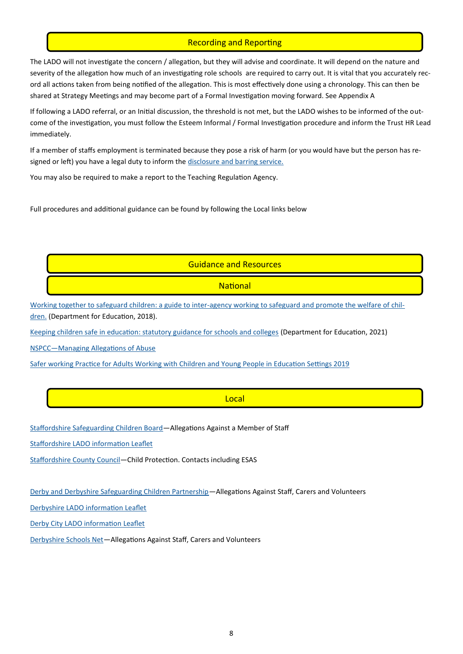# Recording and Reporting

The LADO will not investigate the concern / allegation, but they will advise and coordinate. It will depend on the nature and severity of the allegation how much of an investigating role schools are required to carry out. It is vital that you accurately record all actions taken from being notified of the allegation. This is most effectively done using a chronology. This can then be shared at Strategy Meetings and may become part of a Formal Investigation moving forward. See Appendix A

If following a LADO referral, or an Initial discussion, the threshold is not met, but the LADO wishes to be informed of the outcome of the investigation, you must follow the Esteem Informal / Formal Investigation procedure and inform the Trust HR Lead immediately.

If a member of staffs employment is terminated because they pose a risk of harm (or you would have but the person has resigned or left) you have a legal duty to inform the [disclosure and barring service.](https://www.gov.uk/government/collections/dbs-referrals-guidance--2)

You may also be required to make a report to the Teaching Regulation Agency.

Full procedures and additional guidance can be found by following the Local links below

### Guidance and Resources

### **National**

Working together to safeguard children: a guide to inter-[agency working to safeguard and promote the welfare of chil](https://assets.publishing.service.gov.uk/government/uploads/system/uploads/attachment_data/file/729914/Working_Together_to_Safeguard_Children-2018.pdf)[dren.](https://assets.publishing.service.gov.uk/government/uploads/system/uploads/attachment_data/file/729914/Working_Together_to_Safeguard_Children-2018.pdf) (Department for Education, 2018).

[Keeping children safe in education: statutory guidance for schools and colleges](https://www.gov.uk/government/publications/keeping-children-safe-in-education--2) (Department for Education, 2021)

[NSPCC—Managing Allegations of Abuse](https://learning.nspcc.org.uk/safeguarding-child-protection/managing-allegations-of-abuse)

[Safer working Practice for Adults Working with Children and Young People in Education Settings 2019](https://c-cluster-110.uploads.documents.cimpress.io/v1/uploads/13ecce28-e8f2-49e9-83c6-c29337cd8071~110/original?tenant=vbu-digital)

#### Local

[Staffordshire Safeguarding Children Board—A](https://www.staffsscb.org.uk/procedures/safeguarding-practice-guidance/)llegations Against a Member of Staff

[Staffordshire LADO information Leaflet](https://www.staffsscb.org.uk/working-together-to-safeguard-children/publications/)

[Staffordshire County Council—C](https://www.staffordshire.gov.uk/Care-for-children-and-families/childprotection/rc-Professional.aspx)hild Protection. Contacts including ESAS

[Derby and Derbyshire Safeguarding Children Partnership—A](https://derbyshirescbs.proceduresonline.com/p_alleg_staff_carer_volunteer.html)llegations Against Staff, Carers and Volunteers

[Derbyshire LADO information Leaflet](https://schoolsnet.derbyshire.gov.uk/site-elements/documents/keeping-children-safe-in-education/safeguarding-policies-guidance-and-protocols/lado-information-leaflet.pdf)

[Derby City LADO information Leaflet](https://www.ddscp.org.uk/media/derby-scb/content-assets/documents/procedures/leaflets/Subjects-Allegations-leaflet-April-2017---WEB-VERSION.pdf)

[Derbyshire Schools Net—](https://schoolsnet.derbyshire.gov.uk/keeping-children-safe-in-education/safeguarding-policies-guidance-and-protocols/allegations-against-professionals.aspx)Allegations Against Staff, Carers and Volunteers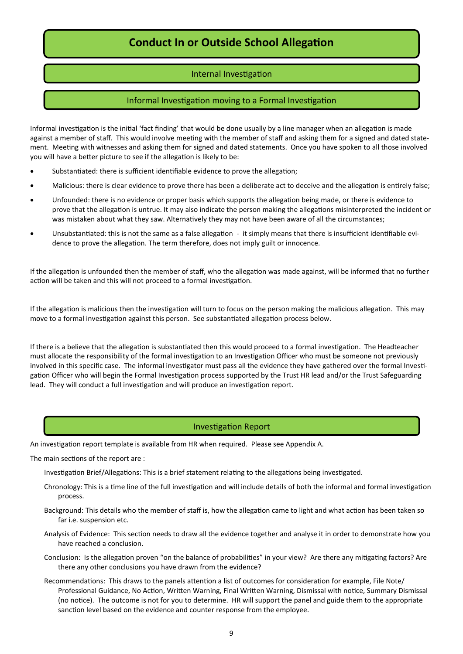# **Conduct In or Outside School Allegation**

# Internal Investigation

# Informal Investigation moving to a Formal Investigation

Informal investigation is the initial 'fact finding' that would be done usually by a line manager when an allegation is made against a member of staff. This would involve meeting with the member of staff and asking them for a signed and dated statement. Meeting with witnesses and asking them for signed and dated statements. Once you have spoken to all those involved you will have a better picture to see if the allegation is likely to be:

- Substantiated: there is sufficient identifiable evidence to prove the allegation;
- Malicious: there is clear evidence to prove there has been a deliberate act to deceive and the allegation is entirely false;
- Unfounded: there is no evidence or proper basis which supports the allegation being made, or there is evidence to prove that the allegation is untrue. It may also indicate the person making the allegations misinterpreted the incident or was mistaken about what they saw. Alternatively they may not have been aware of all the circumstances;
- Unsubstantiated: this is not the same as a false allegation ‐ it simply means that there is insufficient identifiable evidence to prove the allegation. The term therefore, does not imply guilt or innocence.

If the allegation is unfounded then the member of staff, who the allegation was made against, will be informed that no further action will be taken and this will not proceed to a formal investigation.

If the allegation is malicious then the investigation will turn to focus on the person making the malicious allegation. This may move to a formal investigation against this person. See substantiated allegation process below.

If there is a believe that the allegation is substantiated then this would proceed to a formal investigation. The Headteacher must allocate the responsibility of the formal investigation to an Investigation Officer who must be someone not previously involved in this specific case. The informal investigator must pass all the evidence they have gathered over the formal Investigation Officer who will begin the Formal Investigation process supported by the Trust HR lead and/or the Trust Safeguarding lead. They will conduct a full investigation and will produce an investigation report.

## Investigation Report

An investigation report template is available from HR when required. Please see Appendix A.

The main sections of the report are :

Investigation Brief/Allegations: This is a brief statement relating to the allegations being investigated.

- Chronology: This is a time line of the full investigation and will include details of both the informal and formal investigation process.
- Background: This details who the member of staff is, how the allegation came to light and what action has been taken so far i.e. suspension etc.
- Analysis of Evidence: This section needs to draw all the evidence together and analyse it in order to demonstrate how you have reached a conclusion.
- Conclusion: Is the allegation proven "on the balance of probabilities" in your view? Are there any mitigating factors? Are there any other conclusions you have drawn from the evidence?
- Recommendations: This draws to the panels attention a list of outcomes for consideration for example, File Note/ Professional Guidance, No Action, Written Warning, Final Written Warning, Dismissal with notice, Summary Dismissal (no notice). The outcome is not for you to determine. HR will support the panel and guide them to the appropriate sanction level based on the evidence and counter response from the employee.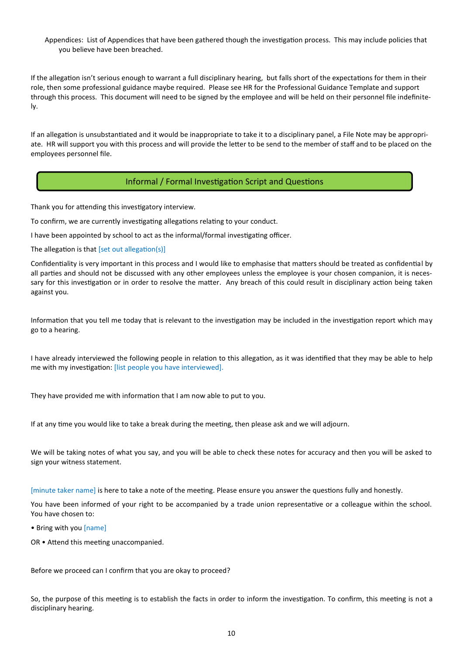## Appendices: List of Appendices that have been gathered though the investigation process. This may include policies that you believe have been breached.

If the allegation isn't serious enough to warrant a full disciplinary hearing, but falls short of the expectations for them in their role, then some professional guidance maybe required. Please see HR for the Professional Guidance Template and support through this process. This document will need to be signed by the employee and will be held on their personnel file indefinitely.

If an allegation is unsubstantiated and it would be inappropriate to take it to a disciplinary panel, a File Note may be appropriate. HR will support you with this process and will provide the letter to be send to the member of staff and to be placed on the employees personnel file.

# Informal / Formal Investigation Script and Questions

Thank you for attending this investigatory interview.

To confirm, we are currently investigating allegations relating to your conduct.

I have been appointed by school to act as the informal/formal investigating officer.

The allegation is that [set out allegation(s)]

Confidentiality is very important in this process and I would like to emphasise that matters should be treated as confidential by all parties and should not be discussed with any other employees unless the employee is your chosen companion, it is necessary for this investigation or in order to resolve the matter. Any breach of this could result in disciplinary action being taken against you.

Information that you tell me today that is relevant to the investigation may be included in the investigation report which may go to a hearing.

I have already interviewed the following people in relation to this allegation, as it was identified that they may be able to help me with my investigation: [list people you have interviewed].

They have provided me with information that I am now able to put to you.

If at any time you would like to take a break during the meeting, then please ask and we will adjourn.

We will be taking notes of what you say, and you will be able to check these notes for accuracy and then you will be asked to sign your witness statement.

[minute taker name] is here to take a note of the meeting. Please ensure you answer the questions fully and honestly.

You have been informed of your right to be accompanied by a trade union representative or a colleague within the school. You have chosen to:

• Bring with you [name]

OR • Attend this meeting unaccompanied.

Before we proceed can I confirm that you are okay to proceed?

So, the purpose of this meeting is to establish the facts in order to inform the investigation. To confirm, this meeting is not a disciplinary hearing.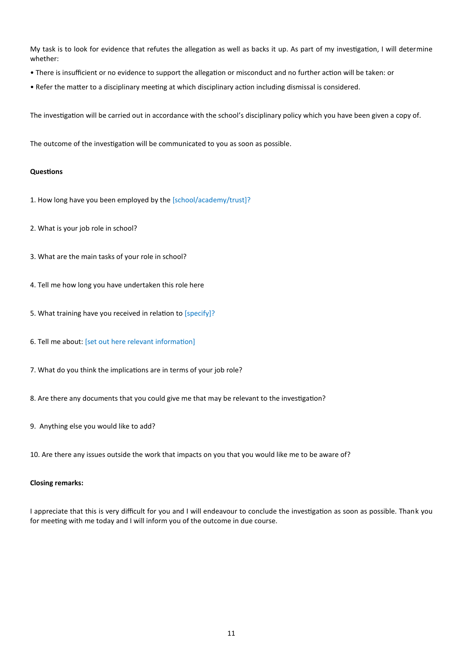My task is to look for evidence that refutes the allegation as well as backs it up. As part of my investigation, I will determine whether:

- There is insufficient or no evidence to support the allegation or misconduct and no further action will be taken: or
- Refer the matter to a disciplinary meeting at which disciplinary action including dismissal is considered.

The investigation will be carried out in accordance with the school's disciplinary policy which you have been given a copy of.

The outcome of the investigation will be communicated to you as soon as possible.

#### **Questions**

- 1. How long have you been employed by the [school/academy/trust]?
- 2. What is your job role in school?
- 3. What are the main tasks of your role in school?
- 4. Tell me how long you have undertaken this role here
- 5. What training have you received in relation to [specify]?
- 6. Tell me about: [set out here relevant information]
- 7. What do you think the implications are in terms of your job role?
- 8. Are there any documents that you could give me that may be relevant to the investigation?
- 9. Anything else you would like to add?

10. Are there any issues outside the work that impacts on you that you would like me to be aware of?

#### **Closing remarks:**

I appreciate that this is very difficult for you and I will endeavour to conclude the investigation as soon as possible. Thank you for meeting with me today and I will inform you of the outcome in due course.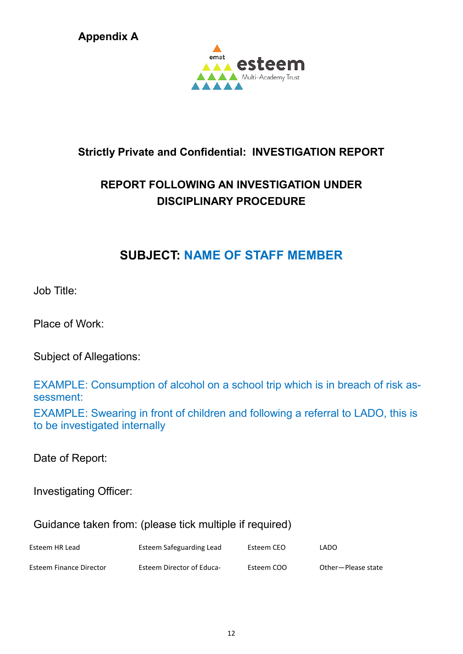**Appendix A**



# **Strictly Private and Confidential: INVESTIGATION REPORT**

# **REPORT FOLLOWING AN INVESTIGATION UNDER DISCIPLINARY PROCEDURE**

# **SUBJECT: NAME OF STAFF MEMBER**

Job Title:

Place of Work:

Subject of Allegations:

EXAMPLE: Consumption of alcohol on a school trip which is in breach of risk assessment:

EXAMPLE: Swearing in front of children and following a referral to LADO, this is to be investigated internally

Date of Report:

Investigating Officer:

Guidance taken from: (please tick multiple if required)

| Esteem HR Lead          | Esteem Safeguarding Lead         | Esteem CEO | LADO               |
|-------------------------|----------------------------------|------------|--------------------|
| Esteem Finance Director | <b>Esteem Director of Educa-</b> | Esteem COO | Other-Please state |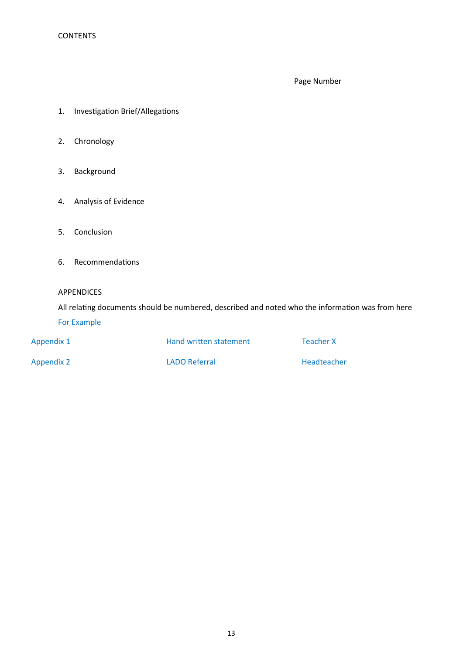Page Number

- 1. Investigation Brief/Allegations
- 2. Chronology
- 3. Background
- 4. Analysis of Evidence
- 5. Conclusion
- 6. Recommendations
- APPENDICES

All relating documents should be numbered, described and noted who the information was from here For Example

| Appendix 1        | Hand written statement | <b>Teacher X</b> |
|-------------------|------------------------|------------------|
| <b>Appendix 2</b> | <b>LADO Referral</b>   | Headteacher      |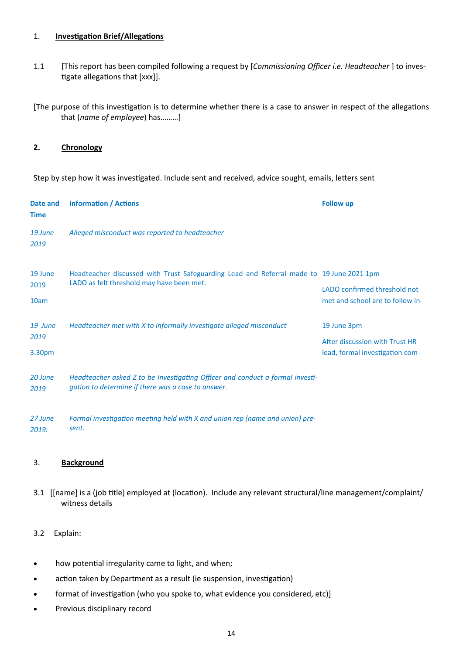# 1. **Investigation Brief/Allegations**

- 1.1 [This report has been compiled following a request by [*Commissioning Officer i.e. Headteacher* ] to investigate allegations that [xxx]].
- [The purpose of this investigation is to determine whether there is a case to answer in respect of the allegations that (*name of employee*) has………]

# **2. Chronology**

Step by step how it was investigated. Include sent and received, advice sought, emails, letters sent

| Date and<br><b>Time</b>   | <b>Information / Actions</b>                                                                                                          | <b>Follow up</b>                                                                 |
|---------------------------|---------------------------------------------------------------------------------------------------------------------------------------|----------------------------------------------------------------------------------|
| 19 June<br>2019           | Alleged misconduct was reported to headteacher                                                                                        |                                                                                  |
| 19 June<br>2019<br>10am   | Headteacher discussed with Trust Safeguarding Lead and Referral made to 19 June 2021 1pm<br>LADO as felt threshold may have been met. | LADO confirmed threshold not<br>met and school are to follow in-                 |
| 19 June<br>2019<br>3.30pm | Headteacher met with X to informally investigate alleged misconduct                                                                   | 19 June 3pm<br>After discussion with Trust HR<br>lead, formal investigation com- |
| 20 June<br>2019           | Headteacher asked Z to be Investigating Officer and conduct a formal investi-<br>gation to determine if there was a case to answer.   |                                                                                  |
| 27 June<br>2019:          | Formal investigation meeting held with X and union rep (name and union) pre-<br>sent.                                                 |                                                                                  |

## 3. **Background**

- 3.1 [[name] is a (job title) employed at (location). Include any relevant structural/line management/complaint/ witness details
- 3.2 Explain:
- how potential irregularity came to light, and when;
- action taken by Department as a result (ie suspension, investigation)
- format of investigation (who you spoke to, what evidence you considered, etc)]
- Previous disciplinary record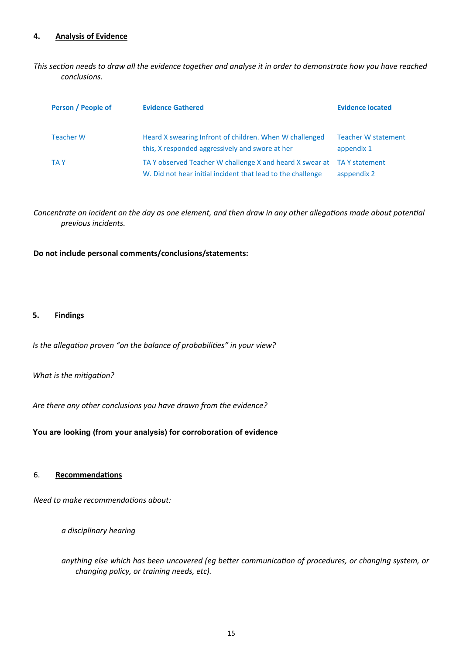## **4. Analysis of Evidence**

*This section needs to draw all the evidence together and analyse it in order to demonstrate how you have reached conclusions.* 

| Person / People of | <b>Evidence Gathered</b>                                                                                                | <b>Evidence located</b>                  |
|--------------------|-------------------------------------------------------------------------------------------------------------------------|------------------------------------------|
| <b>Teacher W</b>   | Heard X swearing Infront of children. When W challenged<br>this, X responded aggressively and swore at her              | <b>Teacher W statement</b><br>appendix 1 |
| <b>TAY</b>         | TA Y observed Teacher W challenge X and heard X swear at<br>W. Did not hear initial incident that lead to the challenge | TA Y statement<br>asppendix 2            |

*Concentrate on incident on the day as one element, and then draw in any other allegations made about potential previous incidents.*

## **Do not include personal comments/conclusions/statements:**

#### **5. Findings**

*Is the allegation proven "on the balance of probabilities" in your view?*

## *What is the mitigation?*

*Are there any other conclusions you have drawn from the evidence?*

**You are looking (from your analysis) for corroboration of evidence**

#### 6. **Recommendations**

*Need to make recommendations about:*

*a disciplinary hearing*

*anything else which has been uncovered (eg better communication of procedures, or changing system, or changing policy, or training needs, etc).*